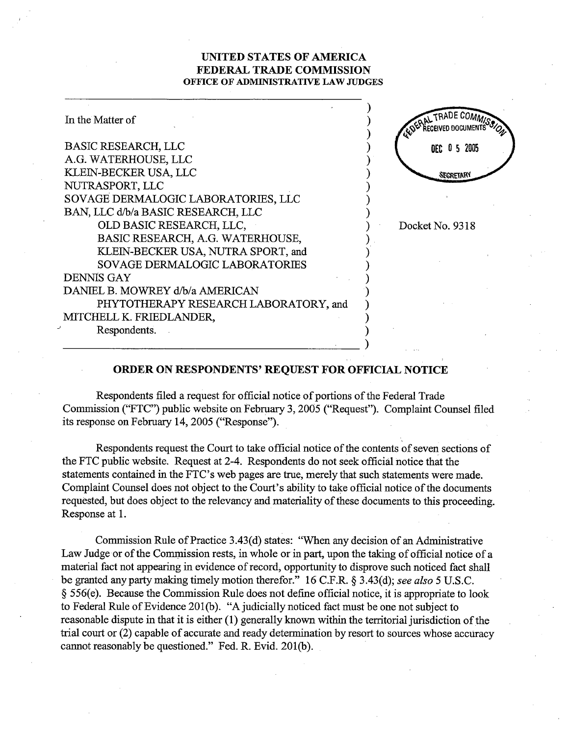## UNITED STATES OF AMERICA FEDERAL TRADE COMMISSION OFFICE OF ADMINISTRATIVE LAW JUDGES

| In the Matter of                      | <b>TRADE COM</b> |
|---------------------------------------|------------------|
| <b>BASIC RESEARCH, LLC</b>            | DEC 0 5 2005     |
| A.G. WATERHOUSE, LLC                  |                  |
| KLEIN-BECKER USA, LLC                 | SECRETARY        |
| NUTRASPORT, LLC                       |                  |
| SOVAGE DERMALOGIC LABORATORIES, LLC   |                  |
| BAN, LLC d/b/a BASIC RESEARCH, LLC    |                  |
| OLD BASIC RESEARCH, LLC,              | Docket No. 9318  |
| BASIC RESEARCH, A.G. WATERHOUSE,      |                  |
| KLEIN-BECKER USA, NUTRA SPORT, and    |                  |
| SOVAGE DERMALOGIC LABORATORIES        |                  |
| <b>DENNIS GAY</b>                     |                  |
| DANIEL B. MOWREY d/b/a AMERICAN       |                  |
| PHYTOTHERAPY RESEARCH LABORATORY, and |                  |
| MITCHELL K. FRIEDLANDER,              |                  |
| Respondents.                          |                  |
|                                       |                  |

## ORDER ON RESPONDENTS' REQUEST FOR OFFICIAL NOTICE

Respondents filed a request for official notice of portions of the Federal Trade Commission ("FTC") public website on February 3, 2005 ("Request"). Complaint Counsel filed its response on February 14, 2005 ("Response").

Respondents request the Court to take official notice of the contents of seven sections of the FTC public website. Request at 2-4. Respondents do not seek official notice that the statements contained in the FTC's web pages are true, merely that such statements were made. Complaint Counsel does not object to the Court's ability to take official notice of the documents requested, but does object to the relevancy and materiality of these documents to this proceeding. Response at 1.

Commission Rule of Practice 3.43(d) states: "When any decision of an Administrative Law Judge or of the Commission rests, in whole or in part, upon the taking of official notice of a material fact not appearing in evidence of record, opportunity to disprove such noticed fact shall be granted any party making timely motion therefor." 16 C.F.R. § 3.43(d); see also 5 U.S.C. 556(e). Because the Commission Rule does not defie offcial notice, it is appropriate to look to Federal Rule of Evidence 201(b). "A judicially noticed fact must be one not subject to reasonable dispute in that it is either (1) generally known within the territorial jurisdiction of the trial court or (2) capable of accurate and ready determination by resort to sources whose accuracy cannot reasonably be questioned." Fed. R. Evid. 201(b).